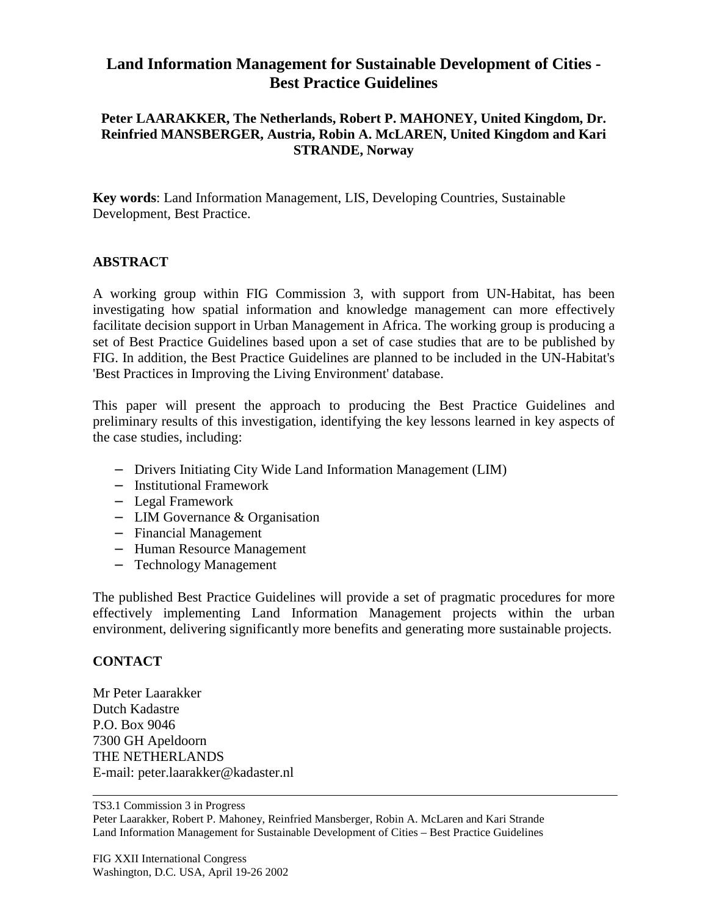## **Land Information Management for Sustainable Development of Cities - Best Practice Guidelines**

## **Peter LAARAKKER, The Netherlands, Robert P. MAHONEY, United Kingdom, Dr. Reinfried MANSBERGER, Austria, Robin A. McLAREN, United Kingdom and Kari STRANDE, Norway**

**Key words**: Land Information Management, LIS, Developing Countries, Sustainable Development, Best Practice.

## **ABSTRACT**

A working group within FIG Commission 3, with support from UN-Habitat, has been investigating how spatial information and knowledge management can more effectively facilitate decision support in Urban Management in Africa. The working group is producing a set of Best Practice Guidelines based upon a set of case studies that are to be published by FIG. In addition, the Best Practice Guidelines are planned to be included in the UN-Habitat's 'Best Practices in Improving the Living Environment' database.

This paper will present the approach to producing the Best Practice Guidelines and preliminary results of this investigation, identifying the key lessons learned in key aspects of the case studies, including:

- − Drivers Initiating City Wide Land Information Management (LIM)
- − Institutional Framework
- − Legal Framework
- − LIM Governance & Organisation
- − Financial Management
- − Human Resource Management
- − Technology Management

The published Best Practice Guidelines will provide a set of pragmatic procedures for more effectively implementing Land Information Management projects within the urban environment, delivering significantly more benefits and generating more sustainable projects.

## **CONTACT**

Mr Peter Laarakker Dutch Kadastre P.O. Box 9046 7300 GH Apeldoorn THE NETHERLANDS E-mail: peter.laarakker@kadaster.nl

TS3.1 Commission 3 in Progress

Peter Laarakker, Robert P. Mahoney, Reinfried Mansberger, Robin A. McLaren and Kari Strande Land Information Management for Sustainable Development of Cities – Best Practice Guidelines